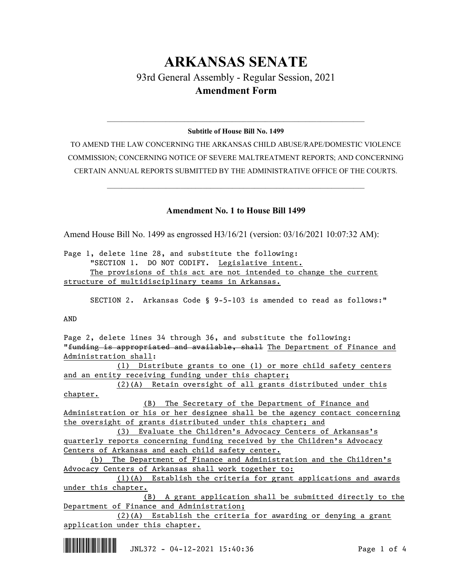## **ARKANSAS SENATE** 93rd General Assembly - Regular Session, 2021 **Amendment Form**

## $\_$  , and the set of the set of the set of the set of the set of the set of the set of the set of the set of the set of the set of the set of the set of the set of the set of the set of the set of the set of the set of th **Subtitle of House Bill No. 1499**

TO AMEND THE LAW CONCERNING THE ARKANSAS CHILD ABUSE/RAPE/DOMESTIC VIOLENCE COMMISSION; CONCERNING NOTICE OF SEVERE MALTREATMENT REPORTS; AND CONCERNING CERTAIN ANNUAL REPORTS SUBMITTED BY THE ADMINISTRATIVE OFFICE OF THE COURTS.

 $\_$  , and the set of the set of the set of the set of the set of the set of the set of the set of the set of the set of the set of the set of the set of the set of the set of the set of the set of the set of the set of th

## **Amendment No. 1 to House Bill 1499**

Amend House Bill No. 1499 as engrossed H3/16/21 (version: 03/16/2021 10:07:32 AM):

Page 1, delete line 28, and substitute the following: "SECTION 1. DO NOT CODIFY. Legislative intent. The provisions of this act are not intended to change the current structure of multidisciplinary teams in Arkansas.

SECTION 2. Arkansas Code § 9-5-103 is amended to read as follows:"

AND

Page 2, delete lines 34 through 36, and substitute the following: "funding is appropriated and available, shall The Department of Finance and Administration shall:

(1) Distribute grants to one (1) or more child safety centers and an entity receiving funding under this chapter;

(2)(A) Retain oversight of all grants distributed under this chapter.

(B) The Secretary of the Department of Finance and Administration or his or her designee shall be the agency contact concerning the oversight of grants distributed under this chapter; and

(3) Evaluate the Children's Advocacy Centers of Arkansas's quarterly reports concerning funding received by the Children's Advocacy Centers of Arkansas and each child safety center.

(b) The Department of Finance and Administration and the Children's Advocacy Centers of Arkansas shall work together to:

(1)(A) Establish the criteria for grant applications and awards under this chapter.

(B) A grant application shall be submitted directly to the Department of Finance and Administration;

(2)(A) Establish the criteria for awarding or denying a grant application under this chapter.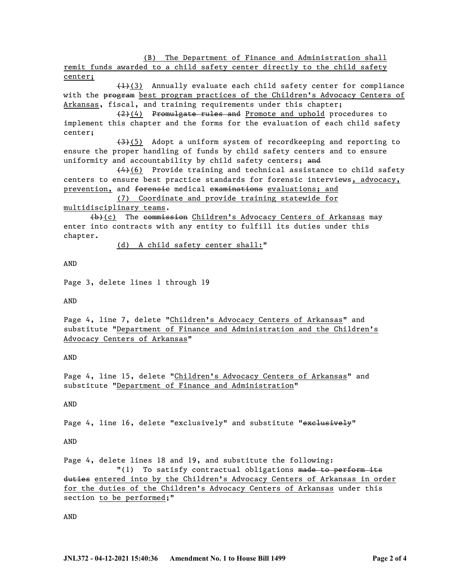(B) The Department of Finance and Administration shall

remit funds awarded to a child safety center directly to the child safety center;

 $(1)$ (3) Annually evaluate each child safety center for compliance with the program best program practices of the Children's Advocacy Centers of Arkansas, fiscal, and training requirements under this chapter;

(2)(4) Promulgate rules and Promote and uphold procedures to implement this chapter and the forms for the evaluation of each child safety center;

(3)(5) Adopt a uniform system of recordkeeping and reporting to ensure the proper handling of funds by child safety centers and to ensure uniformity and accountability by child safety centers; and

 $(4)$ (6) Provide training and technical assistance to child safety centers to ensure best practice standards for forensic interviews, advocacy, prevention, and forensie medical examinations evaluations; and

(7) Coordinate and provide training statewide for

multidisciplinary teams.

(b)(c) The commission Children's Advocacy Centers of Arkansas may enter into contracts with any entity to fulfill its duties under this chapter.

(d) A child safety center shall:"

AND

Page 3, delete lines 1 through 19

AND

Page 4, line 7, delete "Children's Advocacy Centers of Arkansas" and substitute "Department of Finance and Administration and the Children's Advocacy Centers of Arkansas"

AND

Page 4, line 15, delete "Children's Advocacy Centers of Arkansas" and substitute "Department of Finance and Administration"

AND

Page 4, line 16, delete "exclusively" and substitute "exclusively"

AND

Page 4, delete lines 18 and 19, and substitute the following: "(1) To satisfy contractual obligations made to perform its duties entered into by the Children's Advocacy Centers of Arkansas in order for the duties of the Children's Advocacy Centers of Arkansas under this

section to be performed;"

AND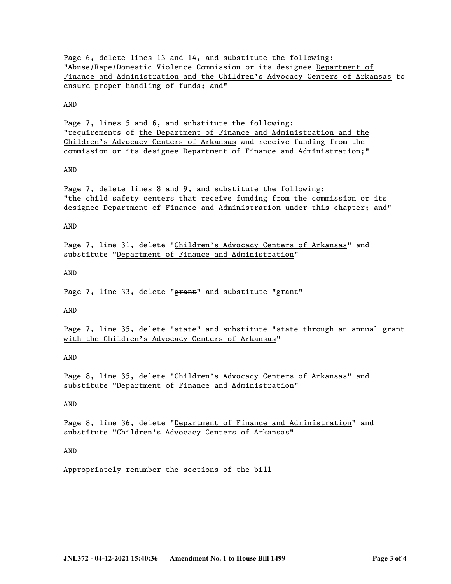Page 6, delete lines 13 and 14, and substitute the following: "Abuse/Rape/Domestic Violence Commission or its designee Department of Finance and Administration and the Children's Advocacy Centers of Arkansas to ensure proper handling of funds; and"

AND

Page 7, lines 5 and 6, and substitute the following: "requirements of the Department of Finance and Administration and the Children's Advocacy Centers of Arkansas and receive funding from the commission or its designee Department of Finance and Administration;"

## AND

Page 7, delete lines 8 and 9, and substitute the following: "the child safety centers that receive funding from the commission or its designee Department of Finance and Administration under this chapter; and"

AND

Page 7, line 31, delete "Children's Advocacy Centers of Arkansas" and substitute "Department of Finance and Administration"

AND

Page 7, line 33, delete "grant" and substitute "grant"

AND

Page 7, line 35, delete "state" and substitute "state through an annual grant with the Children's Advocacy Centers of Arkansas"

AND

Page 8, line 35, delete "Children's Advocacy Centers of Arkansas" and substitute "Department of Finance and Administration"

AND

Page 8, line 36, delete "Department of Finance and Administration" and substitute "Children's Advocacy Centers of Arkansas"

AND

Appropriately renumber the sections of the bill